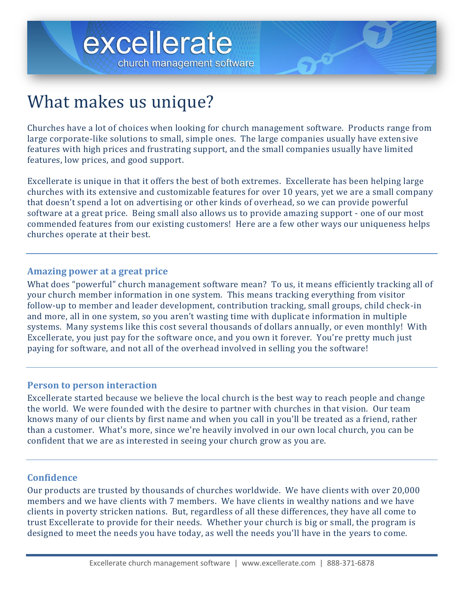



# What makes us unique?

Churches have a lot of choices when looking for church management software. Products range from large corporate-like solutions to small, simple ones. The large companies usually have extensive features with high prices and frustrating support, and the small companies usually have limited features, low prices, and good support.

Excellerate is unique in that it offers the best of both extremes. Excellerate has been helping large churches with its extensive and customizable features for over 10 years, yet we are a small company that doesn't spend a lot on advertising or other kinds of overhead, so we can provide powerful software at a great price. Being small also allows us to provide amazing support - one of our most commended features from our existing customers! Here are a few other ways our uniqueness helps churches operate at their best.

#### **Amazing power at a great price**

What does "powerful" church management software mean? To us, it means efficiently tracking all of your church member information in one system. This means tracking everything from visitor follow-up to member and leader development, contribution tracking, small groups, child check-in and more, all in one system, so you aren't wasting time with duplicate information in multiple systems. Many systems like this cost several thousands of dollars annually, or even monthly! With Excellerate, you just pay for the software once, and you own it forever. You're pretty much just paying for software, and not all of the overhead involved in selling you the software!

#### **Person to person interaction**

Excellerate started because we believe the local church is the best way to reach people and change the world. We were founded with the desire to partner with churches in that vision. Our team knows many of our clients by first name and when you call in you'll be treated as a friend, rather than a customer. What's more, since we're heavily involved in our own local church, you can be confident that we are as interested in seeing your church grow as you are.

#### **Confidence**

Our products are trusted by thousands of churches worldwide. We have clients with over 20,000 members and we have clients with 7 members. We have clients in wealthy nations and we have clients in poverty stricken nations. But, regardless of all these differences, they have all come to trust Excellerate to provide for their needs. Whether your church is big or small, the program is designed to meet the needs you have today, as well the needs you'll have in the years to come.